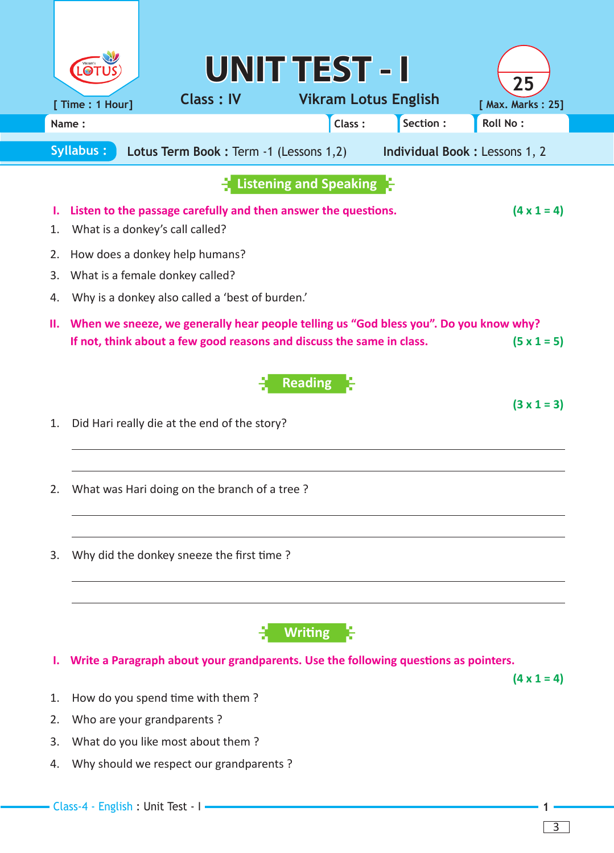|                                                                                                     |                                                                                                                         |                                                                                                                                                                | <b>UNIT TEST - I</b>        |          |                         |  |
|-----------------------------------------------------------------------------------------------------|-------------------------------------------------------------------------------------------------------------------------|----------------------------------------------------------------------------------------------------------------------------------------------------------------|-----------------------------|----------|-------------------------|--|
|                                                                                                     | [ Time : 1 Hour]                                                                                                        | <b>Class: IV</b>                                                                                                                                               | <b>Vikram Lotus English</b> |          | 25<br>[ Max. Marks: 25] |  |
|                                                                                                     | Name:                                                                                                                   |                                                                                                                                                                | Class:                      | Section: | <b>Roll No:</b>         |  |
| <b>Syllabus:</b><br>Lotus Term Book : Term -1 (Lessons 1,2)<br><b>Individual Book: Lessons 1, 2</b> |                                                                                                                         |                                                                                                                                                                |                             |          |                         |  |
| Listening and Speaking                                                                              |                                                                                                                         |                                                                                                                                                                |                             |          |                         |  |
| ι.<br>1.                                                                                            | Listen to the passage carefully and then answer the questions.<br>$(4 \times 1 = 4)$<br>What is a donkey's call called? |                                                                                                                                                                |                             |          |                         |  |
| 2.                                                                                                  | How does a donkey help humans?                                                                                          |                                                                                                                                                                |                             |          |                         |  |
| 3.                                                                                                  | What is a female donkey called?                                                                                         |                                                                                                                                                                |                             |          |                         |  |
| 4.                                                                                                  | Why is a donkey also called a 'best of burden.'                                                                         |                                                                                                                                                                |                             |          |                         |  |
| н.                                                                                                  |                                                                                                                         | When we sneeze, we generally hear people telling us "God bless you". Do you know why?<br>If not, think about a few good reasons and discuss the same in class. |                             |          | $(5 \times 1 = 5)$      |  |
|                                                                                                     |                                                                                                                         |                                                                                                                                                                | <b>Reading</b>              |          | $(3 \times 1 = 3)$      |  |
| 1.                                                                                                  |                                                                                                                         | Did Hari really die at the end of the story?                                                                                                                   |                             |          |                         |  |
| 2.                                                                                                  |                                                                                                                         | What was Hari doing on the branch of a tree?                                                                                                                   |                             |          |                         |  |
| 3.                                                                                                  |                                                                                                                         | Why did the donkey sneeze the first time?                                                                                                                      |                             |          |                         |  |
|                                                                                                     |                                                                                                                         |                                                                                                                                                                | <b>Writing</b>              |          |                         |  |
| ı.                                                                                                  |                                                                                                                         | Write a Paragraph about your grandparents. Use the following questions as pointers.                                                                            |                             |          |                         |  |
| 1.                                                                                                  |                                                                                                                         | How do you spend time with them?                                                                                                                               |                             |          | $(4 \times 1 = 4)$      |  |
| 2.                                                                                                  |                                                                                                                         | Who are your grandparents?                                                                                                                                     |                             |          |                         |  |
| 3.                                                                                                  |                                                                                                                         | What do you like most about them?                                                                                                                              |                             |          |                         |  |
| 4.                                                                                                  |                                                                                                                         | Why should we respect our grandparents?                                                                                                                        |                             |          |                         |  |